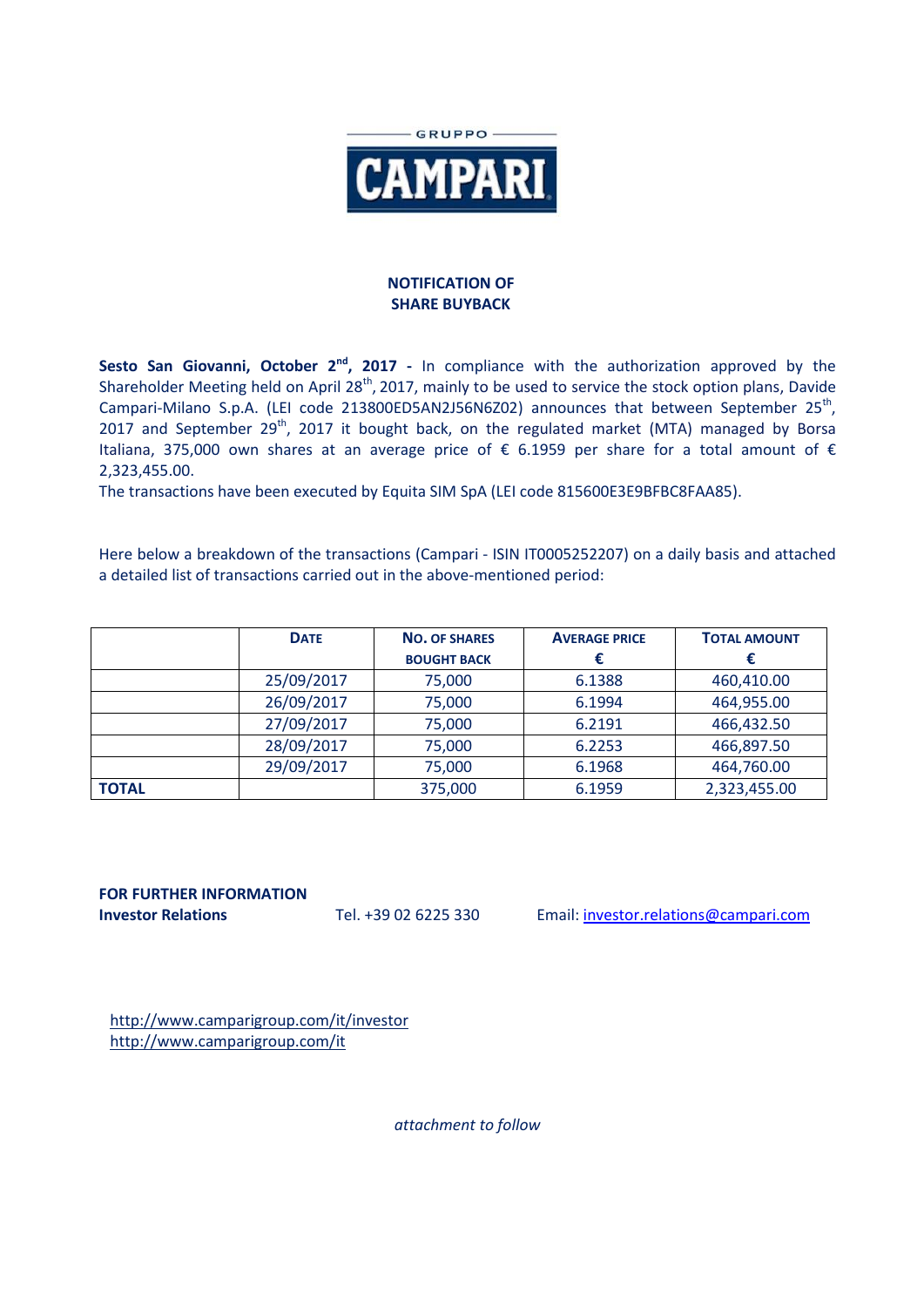

## **NOTIFICATION OF SHARE BUYBACK**

**Sesto San Giovanni, October 2<sup>nd</sup>, 2017** - In compliance with the authorization approved by the Shareholder Meeting held on April 28<sup>th</sup>, 2017, mainly to be used to service the stock option plans, Davide Campari-Milano S.p.A. (LEI code 213800ED5AN2J56N6Z02) announces that between September 25<sup>th</sup>, 2017 and September 29<sup>th</sup>, 2017 it bought back, on the regulated market (MTA) managed by Borsa Italiana, 375,000 own shares at an average price of  $\epsilon$  6.1959 per share for a total amount of  $\epsilon$ 2,323,455.00.

The transactions have been executed by Equita SIM SpA (LEI code 815600E3E9BFBC8FAA85).

Here below a breakdown of the transactions (Campari - ISIN IT0005252207) on a daily basis and attached a detailed list of transactions carried out in the above-mentioned period:

|              | <b>DATE</b> | <b>NO. OF SHARES</b> | <b>AVERAGE PRICE</b> | <b>TOTAL AMOUNT</b> |
|--------------|-------------|----------------------|----------------------|---------------------|
|              |             | <b>BOUGHT BACK</b>   |                      |                     |
|              | 25/09/2017  | 75,000               | 6.1388               | 460,410.00          |
|              | 26/09/2017  | 75,000               | 6.1994               | 464,955.00          |
|              | 27/09/2017  | 75,000               | 6.2191               | 466,432.50          |
|              | 28/09/2017  | 75,000               | 6.2253               | 466,897.50          |
|              | 29/09/2017  | 75,000               | 6.1968               | 464,760.00          |
| <b>TOTAL</b> |             | 375,000              | 6.1959               | 2,323,455.00        |

**FOR FURTHER INFORMATION**

**Investor Relations** Tel. +39 02 6225 330 Email: investor.relations@campari.com

http://www.camparigroup.com/it/investor http://www.camparigroup.com/it

*attachment to follow*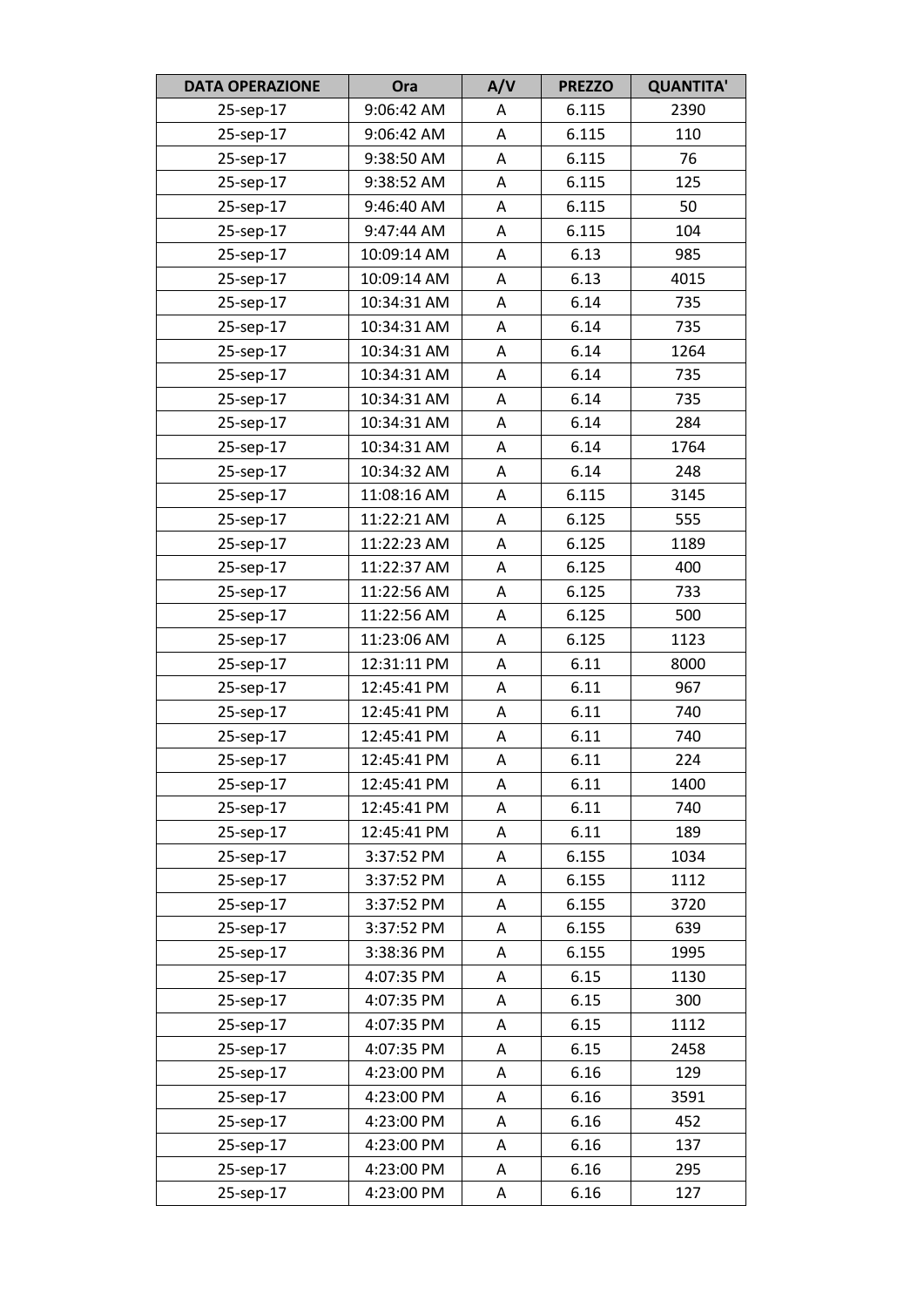| <b>DATA OPERAZIONE</b> | Ora         | A/V | <b>PREZZO</b> | <b>QUANTITA'</b> |
|------------------------|-------------|-----|---------------|------------------|
| 25-sep-17              | 9:06:42 AM  | A   | 6.115         | 2390             |
| 25-sep-17              | 9:06:42 AM  | A   | 6.115         | 110              |
| 25-sep-17              | 9:38:50 AM  | A   | 6.115         | 76               |
| 25-sep-17              | 9:38:52 AM  | A   | 6.115         | 125              |
| 25-sep-17              | 9:46:40 AM  | A   | 6.115         | 50               |
| 25-sep-17              | 9:47:44 AM  | A   | 6.115         | 104              |
| 25-sep-17              | 10:09:14 AM | Α   | 6.13          | 985              |
| 25-sep-17              | 10:09:14 AM | A   | 6.13          | 4015             |
| 25-sep-17              | 10:34:31 AM | Α   | 6.14          | 735              |
| 25-sep-17              | 10:34:31 AM | A   | 6.14          | 735              |
| 25-sep-17              | 10:34:31 AM | A   | 6.14          | 1264             |
| 25-sep-17              | 10:34:31 AM | A   | 6.14          | 735              |
| 25-sep-17              | 10:34:31 AM | Α   | 6.14          | 735              |
| 25-sep-17              | 10:34:31 AM | A   | 6.14          | 284              |
| 25-sep-17              | 10:34:31 AM | Α   | 6.14          | 1764             |
| 25-sep-17              | 10:34:32 AM | A   | 6.14          | 248              |
| 25-sep-17              | 11:08:16 AM | A   | 6.115         | 3145             |
| 25-sep-17              | 11:22:21 AM | A   | 6.125         | 555              |
| 25-sep-17              | 11:22:23 AM | A   | 6.125         | 1189             |
| 25-sep-17              | 11:22:37 AM | A   | 6.125         | 400              |
| 25-sep-17              | 11:22:56 AM | Α   | 6.125         | 733              |
| 25-sep-17              | 11:22:56 AM | A   | 6.125         | 500              |
| 25-sep-17              | 11:23:06 AM | A   | 6.125         | 1123             |
| 25-sep-17              | 12:31:11 PM | A   | 6.11          | 8000             |
| 25-sep-17              | 12:45:41 PM | Α   | 6.11          | 967              |
| 25-sep-17              | 12:45:41 PM | A   | 6.11          | 740              |
| 25-sep-17              | 12:45:41 PM | Α   | 6.11          | 740              |
| 25-sep-17              | 12:45:41 PM | Α   | 6.11          | 224              |
| 25-sep-17              | 12:45:41 PM | Α   | 6.11          | 1400             |
| 25-sep-17              | 12:45:41 PM | Α   | 6.11          | 740              |
| 25-sep-17              | 12:45:41 PM | Α   | 6.11          | 189              |
| 25-sep-17              | 3:37:52 PM  | Α   | 6.155         | 1034             |
| 25-sep-17              | 3:37:52 PM  | Α   | 6.155         | 1112             |
| 25-sep-17              | 3:37:52 PM  | Α   | 6.155         | 3720             |
| 25-sep-17              | 3:37:52 PM  | Α   | 6.155         | 639              |
| 25-sep-17              | 3:38:36 PM  | A   | 6.155         | 1995             |
| 25-sep-17              | 4:07:35 PM  | Α   | 6.15          | 1130             |
| 25-sep-17              | 4:07:35 PM  | Α   | 6.15          | 300              |
| 25-sep-17              | 4:07:35 PM  | Α   | 6.15          | 1112             |
| 25-sep-17              | 4:07:35 PM  | Α   | 6.15          | 2458             |
| 25-sep-17              | 4:23:00 PM  | Α   | 6.16          | 129              |
| 25-sep-17              | 4:23:00 PM  | A   | 6.16          | 3591             |
| 25-sep-17              | 4:23:00 PM  | Α   | 6.16          | 452              |
| 25-sep-17              | 4:23:00 PM  | Α   | 6.16          | 137              |
| 25-sep-17              | 4:23:00 PM  | A   | 6.16          | 295              |
| 25-sep-17              | 4:23:00 PM  | Α   | 6.16          | 127              |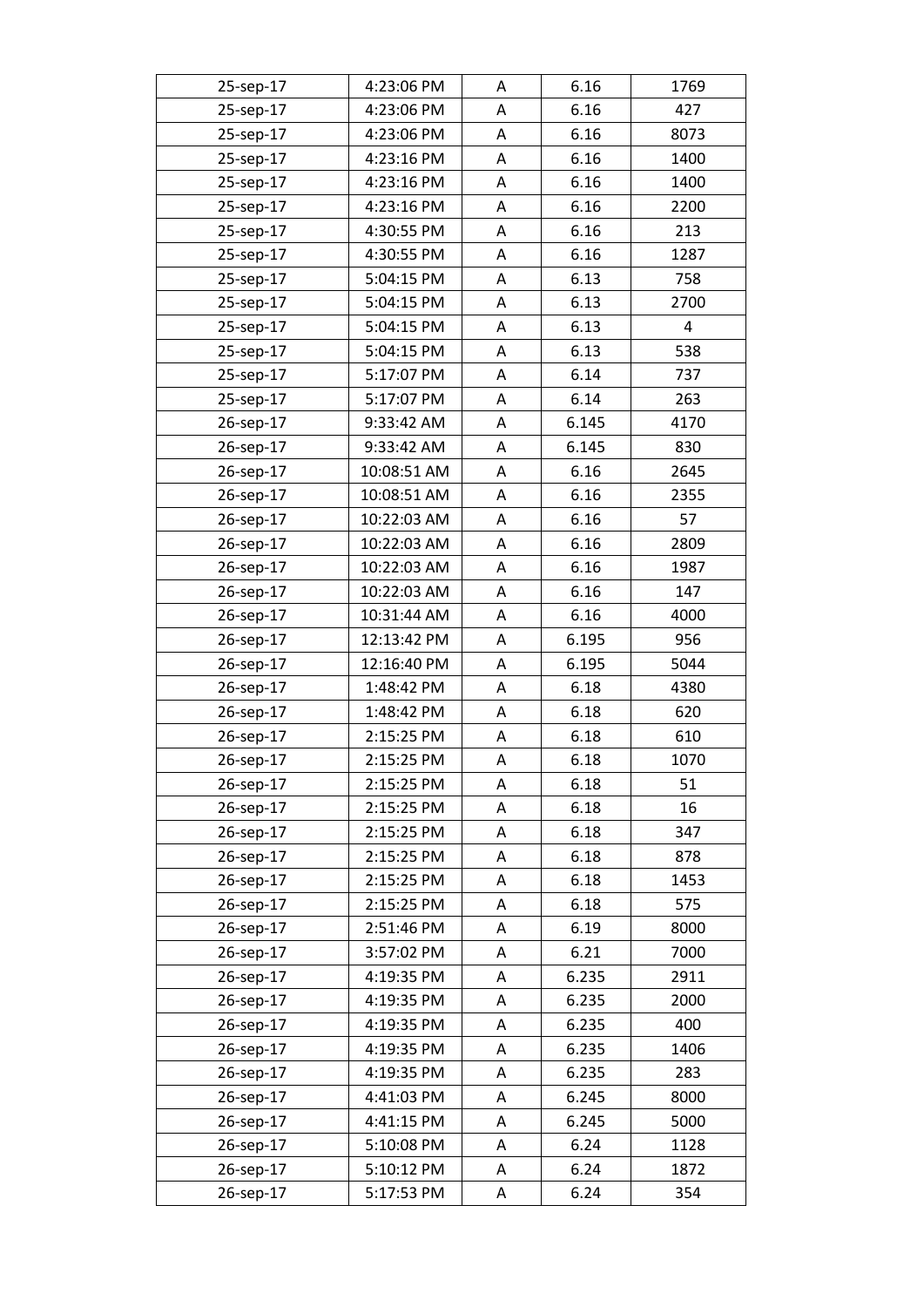| 25-sep-17 | 4:23:06 PM  | Α | 6.16  | 1769 |
|-----------|-------------|---|-------|------|
| 25-sep-17 | 4:23:06 PM  | A | 6.16  | 427  |
| 25-sep-17 | 4:23:06 PM  | A | 6.16  | 8073 |
| 25-sep-17 | 4:23:16 PM  | Α | 6.16  | 1400 |
| 25-sep-17 | 4:23:16 PM  | Α | 6.16  | 1400 |
| 25-sep-17 | 4:23:16 PM  | A | 6.16  | 2200 |
| 25-sep-17 | 4:30:55 PM  | Α | 6.16  | 213  |
| 25-sep-17 | 4:30:55 PM  | Α | 6.16  | 1287 |
| 25-sep-17 | 5:04:15 PM  | Α | 6.13  | 758  |
| 25-sep-17 | 5:04:15 PM  | A | 6.13  | 2700 |
| 25-sep-17 | 5:04:15 PM  | A | 6.13  | 4    |
| 25-sep-17 | 5:04:15 PM  | Α | 6.13  | 538  |
| 25-sep-17 | 5:17:07 PM  | A | 6.14  | 737  |
| 25-sep-17 | 5:17:07 PM  | Α | 6.14  | 263  |
| 26-sep-17 | 9:33:42 AM  | A | 6.145 | 4170 |
| 26-sep-17 | 9:33:42 AM  | A | 6.145 | 830  |
| 26-sep-17 | 10:08:51 AM | Α | 6.16  | 2645 |
| 26-sep-17 | 10:08:51 AM | A | 6.16  | 2355 |
| 26-sep-17 | 10:22:03 AM | Α | 6.16  | 57   |
| 26-sep-17 | 10:22:03 AM | A | 6.16  | 2809 |
| 26-sep-17 | 10:22:03 AM | A | 6.16  | 1987 |
| 26-sep-17 | 10:22:03 AM | A | 6.16  | 147  |
| 26-sep-17 | 10:31:44 AM | Α | 6.16  | 4000 |
| 26-sep-17 | 12:13:42 PM | A | 6.195 | 956  |
| 26-sep-17 | 12:16:40 PM | A | 6.195 | 5044 |
| 26-sep-17 | 1:48:42 PM  | Α | 6.18  | 4380 |
| 26-sep-17 | 1:48:42 PM  | Α | 6.18  | 620  |
| 26-sep-17 | 2:15:25 PM  | Α | 6.18  | 610  |
| 26-sep-17 | 2:15:25 PM  | Α | 6.18  | 1070 |
| 26-sep-17 | 2:15:25 PM  | A | 6.18  | 51   |
| 26-sep-17 | 2:15:25 PM  | Α | 6.18  | 16   |
| 26-sep-17 | 2:15:25 PM  | Α | 6.18  | 347  |
| 26-sep-17 | 2:15:25 PM  | Α | 6.18  | 878  |
| 26-sep-17 | 2:15:25 PM  | Α | 6.18  | 1453 |
| 26-sep-17 | 2:15:25 PM  | Α | 6.18  | 575  |
| 26-sep-17 | 2:51:46 PM  | A | 6.19  | 8000 |
| 26-sep-17 | 3:57:02 PM  | Α | 6.21  | 7000 |
| 26-sep-17 | 4:19:35 PM  | Α | 6.235 | 2911 |
| 26-sep-17 | 4:19:35 PM  | Α | 6.235 | 2000 |
| 26-sep-17 | 4:19:35 PM  | Α | 6.235 | 400  |
| 26-sep-17 | 4:19:35 PM  | Α | 6.235 | 1406 |
| 26-sep-17 | 4:19:35 PM  | Α | 6.235 | 283  |
| 26-sep-17 | 4:41:03 PM  | Α | 6.245 | 8000 |
| 26-sep-17 | 4:41:15 PM  | Α | 6.245 | 5000 |
| 26-sep-17 | 5:10:08 PM  | Α | 6.24  | 1128 |
| 26-sep-17 | 5:10:12 PM  | Α | 6.24  | 1872 |
| 26-sep-17 | 5:17:53 PM  | A | 6.24  | 354  |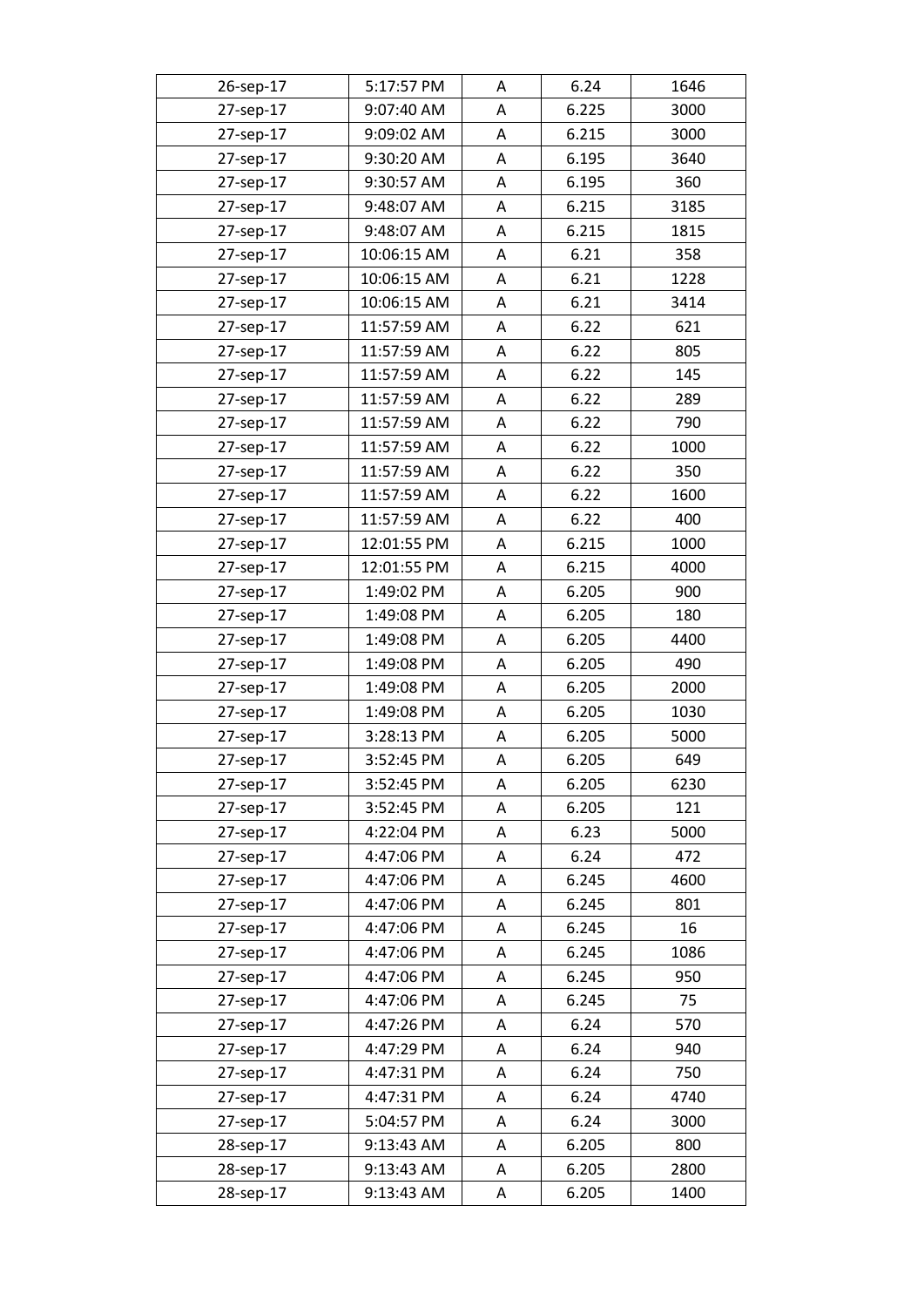| 26-sep-17 | 5:17:57 PM  | Α | 6.24  | 1646 |
|-----------|-------------|---|-------|------|
| 27-sep-17 | 9:07:40 AM  | A | 6.225 | 3000 |
| 27-sep-17 | 9:09:02 AM  | А | 6.215 | 3000 |
| 27-sep-17 | 9:30:20 AM  | А | 6.195 | 3640 |
| 27-sep-17 | 9:30:57 AM  | Α | 6.195 | 360  |
| 27-sep-17 | 9:48:07 AM  | А | 6.215 | 3185 |
| 27-sep-17 | 9:48:07 AM  | А | 6.215 | 1815 |
| 27-sep-17 | 10:06:15 AM | А | 6.21  | 358  |
| 27-sep-17 | 10:06:15 AM | А | 6.21  | 1228 |
| 27-sep-17 | 10:06:15 AM | Α | 6.21  | 3414 |
| 27-sep-17 | 11:57:59 AM | А | 6.22  | 621  |
| 27-sep-17 | 11:57:59 AM | Α | 6.22  | 805  |
| 27-sep-17 | 11:57:59 AM | А | 6.22  | 145  |
| 27-sep-17 | 11:57:59 AM | Α | 6.22  | 289  |
| 27-sep-17 | 11:57:59 AM | A | 6.22  | 790  |
| 27-sep-17 | 11:57:59 AM | A | 6.22  | 1000 |
| 27-sep-17 | 11:57:59 AM | Α | 6.22  | 350  |
| 27-sep-17 | 11:57:59 AM | Α | 6.22  | 1600 |
| 27-sep-17 | 11:57:59 AM | Α | 6.22  | 400  |
| 27-sep-17 | 12:01:55 PM | А | 6.215 | 1000 |
| 27-sep-17 | 12:01:55 PM | A | 6.215 | 4000 |
| 27-sep-17 | 1:49:02 PM  | А | 6.205 | 900  |
| 27-sep-17 | 1:49:08 PM  | А | 6.205 | 180  |
| 27-sep-17 | 1:49:08 PM  | Α | 6.205 | 4400 |
| 27-sep-17 | 1:49:08 PM  | A | 6.205 | 490  |
| 27-sep-17 | 1:49:08 PM  | Α | 6.205 | 2000 |
| 27-sep-17 | 1:49:08 PM  | Α | 6.205 | 1030 |
| 27-sep-17 | 3:28:13 PM  | Α | 6.205 | 5000 |
| 27-sep-17 | 3:52:45 PM  | Α | 6.205 | 649  |
| 27-sep-17 | 3:52:45 PM  | A | 6.205 | 6230 |
| 27-sep-17 | 3:52:45 PM  | Α | 6.205 | 121  |
| 27-sep-17 | 4:22:04 PM  | Α | 6.23  | 5000 |
| 27-sep-17 | 4:47:06 PM  | Α | 6.24  | 472  |
| 27-sep-17 | 4:47:06 PM  | А | 6.245 | 4600 |
| 27-sep-17 | 4:47:06 PM  | Α | 6.245 | 801  |
| 27-sep-17 | 4:47:06 PM  | Α | 6.245 | 16   |
| 27-sep-17 | 4:47:06 PM  | Α | 6.245 | 1086 |
| 27-sep-17 | 4:47:06 PM  | Α | 6.245 | 950  |
| 27-sep-17 | 4:47:06 PM  | Α | 6.245 | 75   |
| 27-sep-17 | 4:47:26 PM  | Α | 6.24  | 570  |
| 27-sep-17 | 4:47:29 PM  | Α | 6.24  | 940  |
| 27-sep-17 | 4:47:31 PM  | Α | 6.24  | 750  |
| 27-sep-17 | 4:47:31 PM  | Α | 6.24  | 4740 |
| 27-sep-17 | 5:04:57 PM  | А | 6.24  | 3000 |
| 28-sep-17 | 9:13:43 AM  | Α | 6.205 | 800  |
| 28-sep-17 | 9:13:43 AM  | Α | 6.205 | 2800 |
| 28-sep-17 | 9:13:43 AM  | A | 6.205 | 1400 |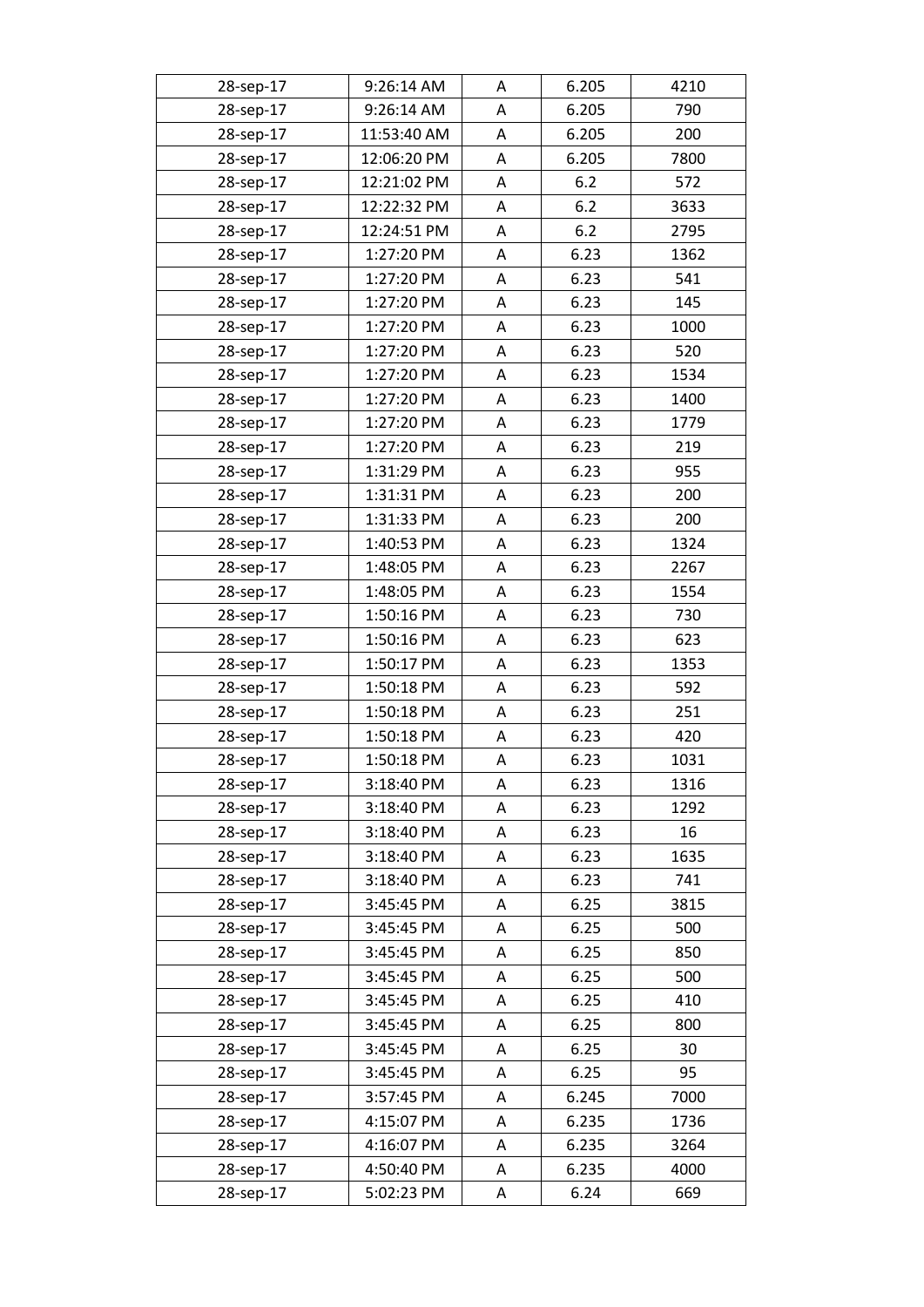| 28-sep-17 | 9:26:14 AM  | Α | 6.205 | 4210 |
|-----------|-------------|---|-------|------|
| 28-sep-17 | 9:26:14 AM  | Α | 6.205 | 790  |
| 28-sep-17 | 11:53:40 AM | A | 6.205 | 200  |
| 28-sep-17 | 12:06:20 PM | Α | 6.205 | 7800 |
| 28-sep-17 | 12:21:02 PM | А | 6.2   | 572  |
| 28-sep-17 | 12:22:32 PM | A | 6.2   | 3633 |
| 28-sep-17 | 12:24:51 PM | Α | 6.2   | 2795 |
| 28-sep-17 | 1:27:20 PM  | A | 6.23  | 1362 |
| 28-sep-17 | 1:27:20 PM  | A | 6.23  | 541  |
| 28-sep-17 | 1:27:20 PM  | A | 6.23  | 145  |
| 28-sep-17 | 1:27:20 PM  | A | 6.23  | 1000 |
| 28-sep-17 | 1:27:20 PM  | Α | 6.23  | 520  |
| 28-sep-17 | 1:27:20 PM  | A | 6.23  | 1534 |
| 28-sep-17 | 1:27:20 PM  | Α | 6.23  | 1400 |
| 28-sep-17 | 1:27:20 PM  | A | 6.23  | 1779 |
| 28-sep-17 | 1:27:20 PM  | A | 6.23  | 219  |
| 28-sep-17 | 1:31:29 PM  | Α | 6.23  | 955  |
| 28-sep-17 | 1:31:31 PM  | Α | 6.23  | 200  |
| 28-sep-17 | 1:31:33 PM  | Α | 6.23  | 200  |
| 28-sep-17 | 1:40:53 PM  | А | 6.23  | 1324 |
| 28-sep-17 | 1:48:05 PM  | A | 6.23  | 2267 |
| 28-sep-17 | 1:48:05 PM  | A | 6.23  | 1554 |
| 28-sep-17 | 1:50:16 PM  | А | 6.23  | 730  |
| 28-sep-17 | 1:50:16 PM  | A | 6.23  | 623  |
| 28-sep-17 | 1:50:17 PM  | A | 6.23  | 1353 |
| 28-sep-17 | 1:50:18 PM  | Α | 6.23  | 592  |
| 28-sep-17 | 1:50:18 PM  | Α | 6.23  | 251  |
| 28-sep-17 | 1:50:18 PM  | Α | 6.23  | 420  |
| 28-sep-17 | 1:50:18 PM  | Α | 6.23  | 1031 |
| 28-sep-17 | 3:18:40 PM  | A | 6.23  | 1316 |
| 28-sep-17 | 3:18:40 PM  | Α | 6.23  | 1292 |
| 28-sep-17 | 3:18:40 PM  | Α | 6.23  | 16   |
| 28-sep-17 | 3:18:40 PM  | Α | 6.23  | 1635 |
| 28-sep-17 | 3:18:40 PM  | Α | 6.23  | 741  |
| 28-sep-17 | 3:45:45 PM  | Α | 6.25  | 3815 |
| 28-sep-17 | 3:45:45 PM  | Α | 6.25  | 500  |
| 28-sep-17 | 3:45:45 PM  | Α | 6.25  | 850  |
| 28-sep-17 | 3:45:45 PM  | Α | 6.25  | 500  |
| 28-sep-17 | 3:45:45 PM  | Α | 6.25  | 410  |
| 28-sep-17 | 3:45:45 PM  | Α | 6.25  | 800  |
| 28-sep-17 | 3:45:45 PM  | Α | 6.25  | 30   |
| 28-sep-17 | 3:45:45 PM  | Α | 6.25  | 95   |
| 28-sep-17 | 3:57:45 PM  | Α | 6.245 | 7000 |
| 28-sep-17 | 4:15:07 PM  | Α | 6.235 | 1736 |
| 28-sep-17 | 4:16:07 PM  | Α | 6.235 | 3264 |
| 28-sep-17 | 4:50:40 PM  | Α | 6.235 | 4000 |
| 28-sep-17 | 5:02:23 PM  | A | 6.24  | 669  |